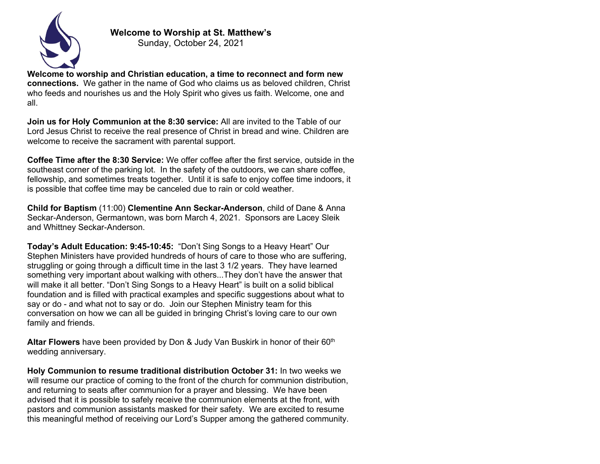

**Welcome to Worship at St. Matthew's**

Sunday, October 24, 2021

**Welcome to worship and Christian education, a time to reconnect and form new connections.** We gather in the name of God who claims us as beloved children, Christ who feeds and nourishes us and the Holy Spirit who gives us faith. Welcome, one and all.

**Join us for Holy Communion at the 8:30 service:** All are invited to the Table of our Lord Jesus Christ to receive the real presence of Christ in bread and wine. Children are welcome to receive the sacrament with parental support.

**Coffee Time after the 8:30 Service:** We offer coffee after the first service, outside in the southeast corner of the parking lot. In the safety of the outdoors, we can share coffee, fellowship, and sometimes treats together. Until it is safe to enjoy coffee time indoors, it is possible that coffee time may be canceled due to rain or cold weather.

**Child for Baptism** (11:00) **Clementine Ann Seckar-Anderson**, child of Dane & Anna Seckar-Anderson, Germantown, was born March 4, 2021. Sponsors are Lacey Sleik and Whittney Seckar-Anderson.

**Today's Adult Education: 9:45-10:45:** "Don't Sing Songs to a Heavy Heart" Our Stephen Ministers have provided hundreds of hours of care to those who are suffering, struggling or going through a difficult time in the last 3 1/2 years. They have learned something very important about walking with others...They don't have the answer that will make it all better. "Don't Sing Songs to a Heavy Heart" is built on a solid biblical foundation and is filled with practical examples and specific suggestions about what to say or do - and what not to say or do. Join our Stephen Ministry team for this conversation on how we can all be guided in bringing Christ's loving care to our own family and friends.

**Altar Flowers** have been provided by Don & Judy Van Buskirk in honor of their 60<sup>th</sup> wedding anniversary.

**Holy Communion to resume traditional distribution October 31:** In two weeks we will resume our practice of coming to the front of the church for communion distribution, and returning to seats after communion for a prayer and blessing. We have been advised that it is possible to safely receive the communion elements at the front, with pastors and communion assistants masked for their safety. We are excited to resume this meaningful method of receiving our Lord's Supper among the gathered community.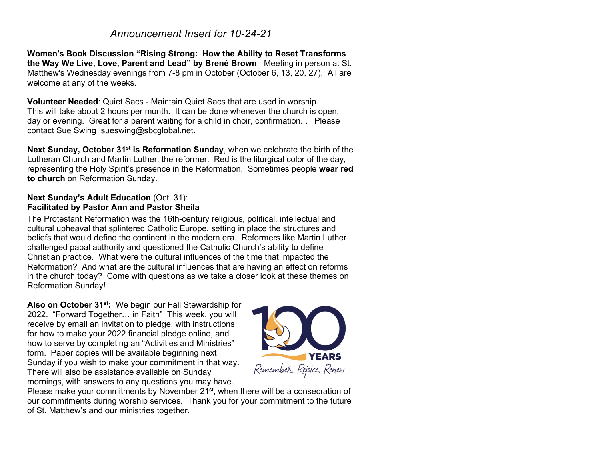## *Announcement Insert for 10-24-21*

**Women's Book Discussion "Rising Strong: How the Ability to Reset Transforms the Way We Live, Love, Parent and Lead" by Brené Brown** Meeting in person at St. Matthew's Wednesday evenings from 7-8 pm in October (October 6, 13, 20, 27). All are welcome at any of the weeks.

**Volunteer Needed**: Quiet Sacs - Maintain Quiet Sacs that are used in worship. This will take about 2 hours per month. It can be done whenever the church is open; day or evening. Great for a parent waiting for a child in choir, confirmation... Please contact Sue Swing sueswing@sbcglobal.net.

**Next Sunday, October 31st is Reformation Sunday**, when we celebrate the birth of the Lutheran Church and Martin Luther, the reformer. Red is the liturgical color of the day, representing the Holy Spirit's presence in the Reformation. Sometimes people **wear red to church** on Reformation Sunday.

## **Next Sunday's Adult Education** (Oct. 31): **Facilitated by Pastor Ann and Pastor Sheila**

The Protestant Reformation was the 16th-century religious, political, intellectual and cultural upheaval that splintered Catholic Europe, setting in place the structures and beliefs that would define the continent in the modern era. Reformers like Martin Luther challenged papal authority and questioned the Catholic Church's ability to define Christian practice. What were the cultural influences of the time that impacted the Reformation? And what are the cultural influences that are having an effect on reforms in the church today? Come with questions as we take a closer look at these themes on Reformation Sunday!

**Also on October 31st:** We begin our Fall Stewardship for 2022. "Forward Together… in Faith" This week, you will receive by email an invitation to pledge, with instructions for how to make your 2022 financial pledge online, and how to serve by completing an "Activities and Ministries" form. Paper copies will be available beginning next Sunday if you wish to make your commitment in that way. There will also be assistance available on Sunday mornings, with answers to any questions you may have.



Please make your commitments by November 21<sup>st</sup>, when there will be a consecration of our commitments during worship services. Thank you for your commitment to the future of St. Matthew's and our ministries together.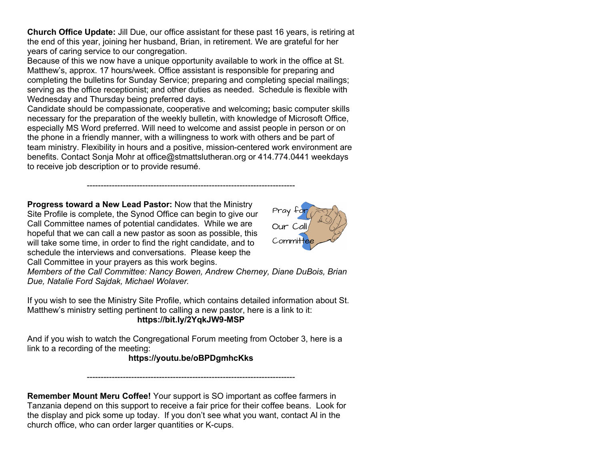**Church Office Update:** Jill Due, our office assistant for these past 16 years, is retiring at the end of this year, joining her husband, Brian, in retirement. We are grateful for her years of caring service to our congregation.

Because of this we now have a unique opportunity available to work in the office at St. Matthew's, approx. 17 hours/week. Office assistant is responsible for preparing and completing the bulletins for Sunday Service; preparing and completing special mailings; serving as the office receptionist; and other duties as needed. Schedule is flexible with Wednesday and Thursday being preferred days.

Candidate should be compassionate, cooperative and welcoming**;** basic computer skills necessary for the preparation of the weekly bulletin, with knowledge of Microsoft Office, especially MS Word preferred. Will need to welcome and assist people in person or on the phone in a friendly manner, with a willingness to work with others and be part of team ministry. Flexibility in hours and a positive, mission-centered work environment are benefits. Contact Sonja Mohr at office@stmattslutheran.org or 414.774.0441 weekdays to receive job description or to provide resumé.

---------------------------------------------------------------------------

**Progress toward a New Lead Pastor:** Now that the Ministry Site Profile is complete, the Synod Office can begin to give our Call Committee names of potential candidates. While we are hopeful that we can call a new pastor as soon as possible, this will take some time, in order to find the right candidate, and to schedule the interviews and conversations. Please keep the Call Committee in your prayers as this work begins.



*Members of the Call Committee: Nancy Bowen, Andrew Cherney, Diane DuBois, Brian Due, Natalie Ford Sajdak, Michael Wolaver.*

If you wish to see the Ministry Site Profile, which contains detailed information about St. Matthew's ministry setting pertinent to calling a new pastor, here is a link to it: **https://bit.ly/2YqkJW9-MSP**

And if you wish to watch the Congregational Forum meeting from October 3, here is a link to a recording of the meeting:

## **https://youtu.be/oBPDgmhcKks**

---------------------------------------------------------------------------

**Remember Mount Meru Coffee!** Your support is SO important as coffee farmers in Tanzania depend on this support to receive a fair price for their coffee beans. Look for the display and pick some up today. If you don't see what you want, contact Al in the church office, who can order larger quantities or K-cups.